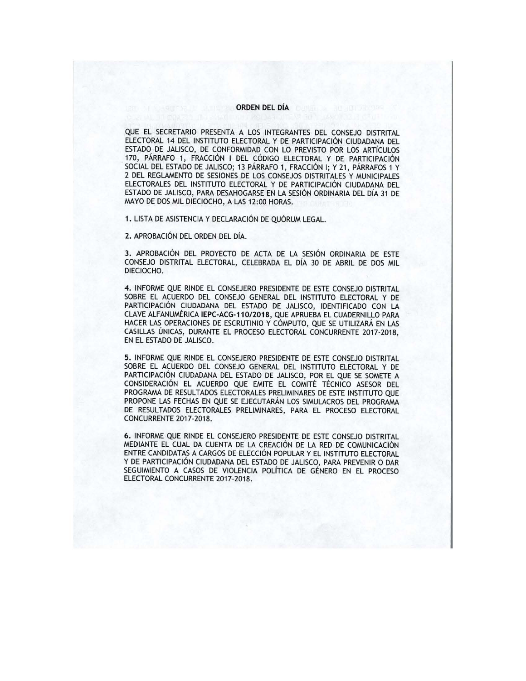## **ORDEN DEL DÍA**

QUE EL SECRETARIO PRESENTA A LOS INTEGRANTES DEL CONSEJO DISTRITAL ELECTORAL 14 DEL INSTITUTO ELECTORAL Y DE PARTICIPACIÓN CIUDADANA DEL ESTADO DE JALISCO, DE CONFORMIDAD CON LO PREVISTO POR LOS ARTÍCULOS 170, PÁRRAFO 1, FRACCIÓN I DEL CÓDIGO ELECTORAL Y DE PARTICIPACIÓN SOCIAL DEL ESTADO DE JALISCO; 13 PÁRRAFO 1, FRACCIÓN I; Y 21, PÁRRAFOS 1 Y 2 DEL REGLAMENTO DE SESIONES DE LOS CONSEJOS DISTRITALES Y MUNICIPALES ELECTORALES DEL INSTITUTO ELECTORAL Y DE PARTICIPACIÓN CIUDADANA DEL ESTADO DE JALISCO, PARA DESAHOGARSE EN LA SESIÓN ORDINARIA DEL DÍA 31 DE MAYO DE DOS MIL DIECIOCHO, A LAS 12:00 HORAS.

**1.** LISTA DE ASISTENCIA Y DECLARACIÓN DE QUÓRUM LEGAL.

**2.** APROBACIÓN DEL ORDEN DEL DÍA.

**3.** APROBACIÓN DEL PROYECTO DE ACTA DE LA SESIÓN ORDINARIA DE ESTE CONSEJO DISTRITAL ELECTORAL, CELEBRADA EL DÍA 30 DE ABRIL DE DOS MIL DIECIOCHO.

**4.** INFORME QUE RINDE EL CONSEJERO PRESIDENTE DE ESTE CONSEJO DISTRITAL SOBRE EL ACUERDO DEL CONSEJO GENERAL DEL INSTITUTO ELECTORAL Y DE PARTICIPACIÓN CIUDADANA DEL ESTADO DE JALISCO, IDENTIFICADO CON LA CLAVE ALFANUMÉRICA **IEPC-ACG-110/2018,** QUE APRUEBA EL CUADERNILLO PARA HACER LAS OPERACIONES DE ESCRUTINIO Y CÓMPUTO, QUE SE UTILIZARÁ EN LAS CASILLAS ÚNICAS, DURANTE EL PROCESO ELECTORAL CONCURRENTE 2017-2018, EN EL ESTADO DE JALISCO.

**5.** INFORME QUE RINDE EL CONSEJERO PRESIDENTE DE ESTE CONSEJO DISTRITAL SOBRE EL ACUERDO DEL CONSEJO GENERAL DEL INSTITUTO ELECTORAL Y DE PARTICIPACIÓN CIUDADANA DEL ESTADO DE JALISCO, POR EL QUE SE SOMETE A CONSIDERACIÓN EL ACUERDO QUE EMITE EL COMITÉ TÉCNICO ASESOR DEL PROGRAMA DE RESULTADOS ELECTORALES PRELIMINARES DE ESTE INSTITUTO QUE PROPONE LAS FECHAS EN QUE SE EJECUTARÁN LOS SIMULACROS DEL PROGRAMA DE RESULTADOS ELECTORALES PRELIMINARES, PARA EL PROCESO ELECTORAL CONCURRENTE 2017-2018.

6. INFORME QUE RINDE EL CONSEJERO PRESIDENTE DE ESTE CONSEJO DISTRITAL MEDIANTE EL CUAL DA CUENTA DE LA CREACIÓN DE LA RED DE COMUNICACIÓN ENTRE CANDIDATAS A CARGOS DE ELECCIÓN POPULAR Y EL INSTITUTO ELECTORAL Y DE PARTICIPACIÓN CIUDADANA DEL ESTADO DE JALISCO, PARA PREVENIR O DAR SEGUIMIENTO A CASOS DE VIOLENCIA POLÍTICA DE GÉNERO EN EL PROCESO ELECTORAL CONCURRENTE 2017-2018.